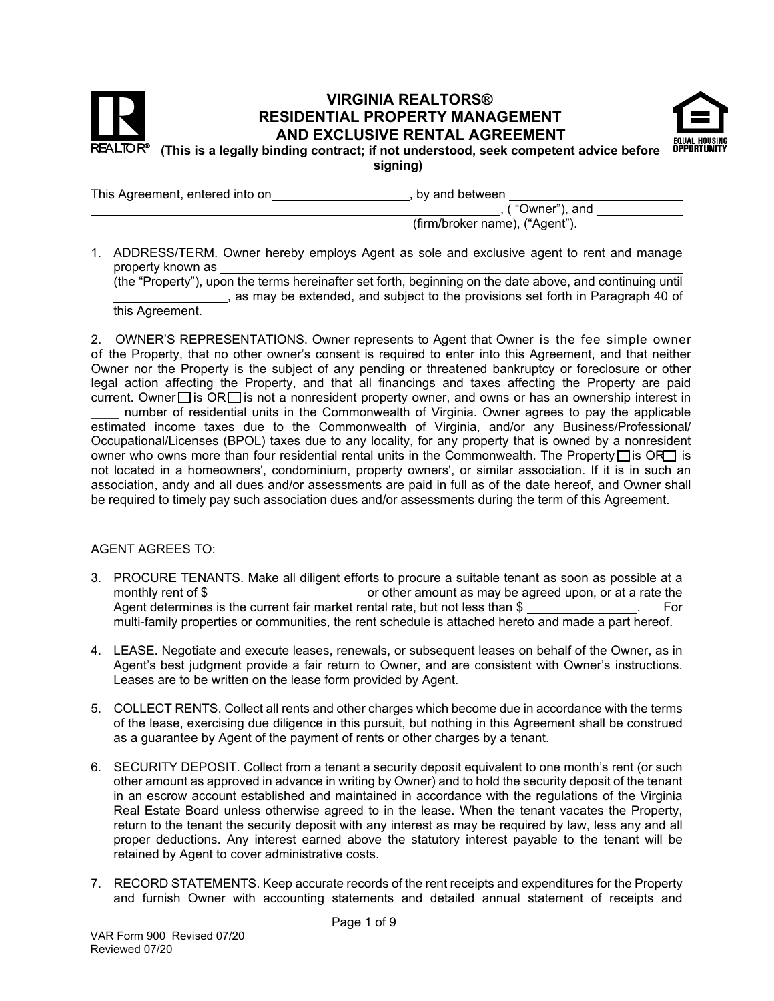



**signing)** 

This Agreement, entered into on **contained** by and between **on**  $\overline{a}$ , by and between

| $\overline{a}$ , ("Owner"), and |  |
|---------------------------------|--|
| (firm/broker name), ("Agent").  |  |

1. ADDRESS/TERM. Owner hereby employs Agent as sole and exclusive agent to rent and manage property known as

(the "Property"), upon the terms hereinafter set forth, beginning on the date above, and continuing until , as may be extended, and subject to the provisions set forth in Paragraph 40 of

this Agreement.

2. OWNER'S REPRESENTATIONS. Owner represents to Agent that Owner is the fee simple owner of the Property, that no other owner's consent is required to enter into this Agreement, and that neither Owner nor the Property is the subject of any pending or threatened bankruptcy or foreclosure or other legal action affecting the Property, and that all financings and taxes affecting the Property are paid current. Owner  $\Box$  is OR  $\Box$  is not a nonresident property owner, and owns or has an ownership interest in

number of residential units in the Commonwealth of Virginia. Owner agrees to pay the applicable estimated income taxes due to the Commonwealth of Virginia, and/or any Business/Professional/ Occupational/Licenses (BPOL) taxes due to any locality, for any property that is owned by a nonresident owner who owns more than four residential rental units in the Commonwealth. The Property  $\Box$  is OR $\Box$  is not located in a homeowners', condominium, property owners', or similar association. If it is in such an association, andy and all dues and/or assessments are paid in full as of the date hereof, and Owner shall be required to timely pay such association dues and/or assessments during the term of this Agreement.

## AGENT AGREES TO:

- 3. PROCURE TENANTS. Make all diligent efforts to procure a suitable tenant as soon as possible at a monthly rent of  $\$\_\_$ Agent determines is the current fair market rental rate, but not less than  $\$$  \_\_\_\_\_\_\_\_\_\_\_\_\_\_. For multi-family properties or communities, the rent schedule is attached hereto and made a part hereof.
- 4. LEASE. Negotiate and execute leases, renewals, or subsequent leases on behalf of the Owner, as in Agent's best judgment provide a fair return to Owner, and are consistent with Owner's instructions. Leases are to be written on the lease form provided by Agent.
- 5. COLLECT RENTS. Collect all rents and other charges which become due in accordance with the terms of the lease, exercising due diligence in this pursuit, but nothing in this Agreement shall be construed as a guarantee by Agent of the payment of rents or other charges by a tenant.
- 6. SECURITY DEPOSIT. Collect from a tenant a security deposit equivalent to one month's rent (or such other amount as approved in advance in writing by Owner) and to hold the security deposit of the tenant in an escrow account established and maintained in accordance with the regulations of the Virginia Real Estate Board unless otherwise agreed to in the lease. When the tenant vacates the Property, return to the tenant the security deposit with any interest as may be required by law, less any and all proper deductions. Any interest earned above the statutory interest payable to the tenant will be retained by Agent to cover administrative costs.
- 7. RECORD STATEMENTS. Keep accurate records of the rent receipts and expenditures for the Property and furnish Owner with accounting statements and detailed annual statement of receipts and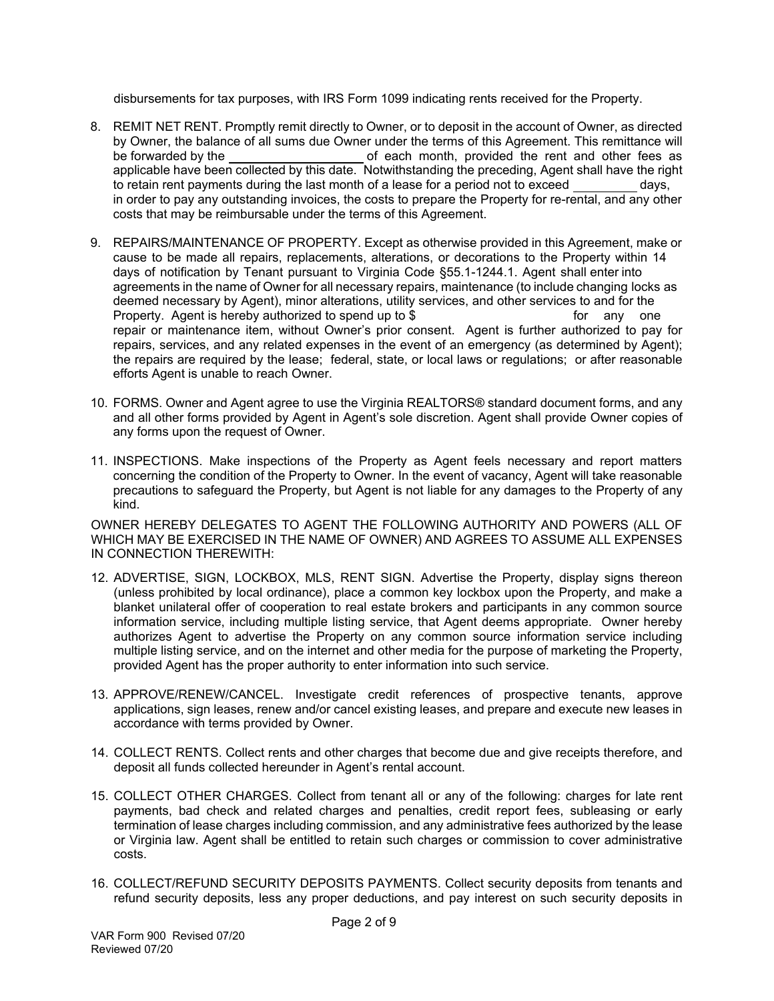disbursements for tax purposes, with IRS Form 1099 indicating rents received for the Property.

- 8. REMIT NET RENT. Promptly remit directly to Owner, or to deposit in the account of Owner, as directed by Owner, the balance of all sums due Owner under the terms of this Agreement. This remittance will be forwarded by the order of each month, provided the rent and other fees as applicable have been collected by this date. Notwithstanding the preceding, Agent shall have the right to retain rent payments during the last month of a lease for a period not to exceed days, in order to pay any outstanding invoices, the costs to prepare the Property for re-rental, and any other costs that may be reimbursable under the terms of this Agreement.
- 9. REPAIRS/MAINTENANCE OF PROPERTY. Except as otherwise provided in this Agreement, make or cause to be made all repairs, replacements, alterations, or decorations to the Property within 14 days of notification by Tenant pursuant to Virginia Code §55.1-1244.1. Agent shall enter into agreements in the name of Owner for all necessary repairs, maintenance (to include changing locks as deemed necessary by Agent), minor alterations, utility services, and other services to and for the Property. Agent is hereby authorized to spend up to \$ for any one repair or maintenance item, without Owner's prior consent. Agent is further authorized to pay for repairs, services, and any related expenses in the event of an emergency (as determined by Agent); the repairs are required by the lease; federal, state, or local laws or regulations; or after reasonable efforts Agent is unable to reach Owner.
- 10. FORMS. Owner and Agent agree to use the Virginia REALTORS® standard document forms, and any and all other forms provided by Agent in Agent's sole discretion. Agent shall provide Owner copies of any forms upon the request of Owner.
- 11. INSPECTIONS. Make inspections of the Property as Agent feels necessary and report matters concerning the condition of the Property to Owner. In the event of vacancy, Agent will take reasonable precautions to safeguard the Property, but Agent is not liable for any damages to the Property of any kind.

OWNER HEREBY DELEGATES TO AGENT THE FOLLOWING AUTHORITY AND POWERS (ALL OF WHICH MAY BE EXERCISED IN THE NAME OF OWNER) AND AGREES TO ASSUME ALL EXPENSES IN CONNECTION THEREWITH:

- 12. ADVERTISE, SIGN, LOCKBOX, MLS, RENT SIGN. Advertise the Property, display signs thereon (unless prohibited by local ordinance), place a common key lockbox upon the Property, and make a blanket unilateral offer of cooperation to real estate brokers and participants in any common source information service, including multiple listing service, that Agent deems appropriate. Owner hereby authorizes Agent to advertise the Property on any common source information service including multiple listing service, and on the internet and other media for the purpose of marketing the Property, provided Agent has the proper authority to enter information into such service.
- 13. APPROVE/RENEW/CANCEL. Investigate credit references of prospective tenants, approve applications, sign leases, renew and/or cancel existing leases, and prepare and execute new leases in accordance with terms provided by Owner.
- 14. COLLECT RENTS. Collect rents and other charges that become due and give receipts therefore, and deposit all funds collected hereunder in Agent's rental account.
- 15. COLLECT OTHER CHARGES. Collect from tenant all or any of the following: charges for late rent payments, bad check and related charges and penalties, credit report fees, subleasing or early termination of lease charges including commission, and any administrative fees authorized by the lease or Virginia law. Agent shall be entitled to retain such charges or commission to cover administrative costs.
- 16. COLLECT/REFUND SECURITY DEPOSITS PAYMENTS. Collect security deposits from tenants and refund security deposits, less any proper deductions, and pay interest on such security deposits in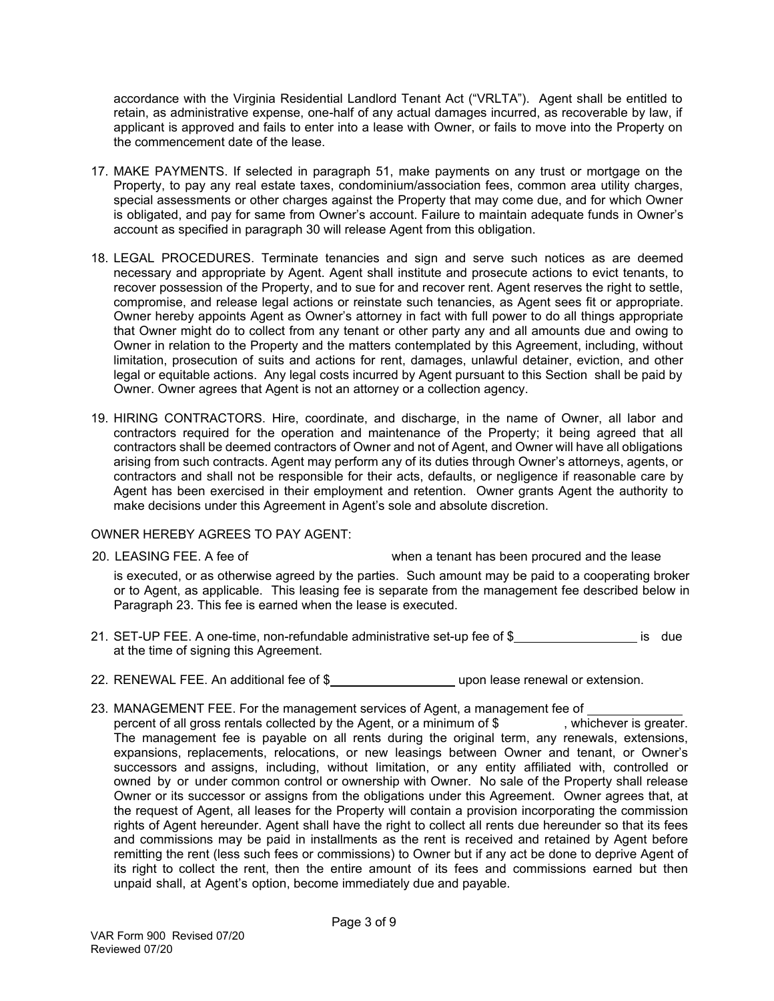accordance with the Virginia Residential Landlord Tenant Act ("VRLTA"). Agent shall be entitled to retain, as administrative expense, one-half of any actual damages incurred, as recoverable by law, if applicant is approved and fails to enter into a lease with Owner, or fails to move into the Property on the commencement date of the lease.

- 17. MAKE PAYMENTS. If selected in paragraph 51, make payments on any trust or mortgage on the Property, to pay any real estate taxes, condominium/association fees, common area utility charges, special assessments or other charges against the Property that may come due, and for which Owner is obligated, and pay for same from Owner's account. Failure to maintain adequate funds in Owner's account as specified in paragraph 30 will release Agent from this obligation.
- 18. LEGAL PROCEDURES. Terminate tenancies and sign and serve such notices as are deemed necessary and appropriate by Agent. Agent shall institute and prosecute actions to evict tenants, to recover possession of the Property, and to sue for and recover rent. Agent reserves the right to settle, compromise, and release legal actions or reinstate such tenancies, as Agent sees fit or appropriate. Owner hereby appoints Agent as Owner's attorney in fact with full power to do all things appropriate that Owner might do to collect from any tenant or other party any and all amounts due and owing to Owner in relation to the Property and the matters contemplated by this Agreement, including, without limitation, prosecution of suits and actions for rent, damages, unlawful detainer, eviction, and other legal or equitable actions. Any legal costs incurred by Agent pursuant to this Section shall be paid by Owner. Owner agrees that Agent is not an attorney or a collection agency.
- 19. HIRING CONTRACTORS. Hire, coordinate, and discharge, in the name of Owner, all labor and contractors required for the operation and maintenance of the Property; it being agreed that all contractors shall be deemed contractors of Owner and not of Agent, and Owner will have all obligations arising from such contracts. Agent may perform any of its duties through Owner's attorneys, agents, or contractors and shall not be responsible for their acts, defaults, or negligence if reasonable care by Agent has been exercised in their employment and retention. Owner grants Agent the authority to make decisions under this Agreement in Agent's sole and absolute discretion.

## OWNER HEREBY AGREES TO PAY AGENT:

20. LEASING FEE. A fee of when a tenant has been procured and the lease

is executed, or as otherwise agreed by the parties. Such amount may be paid to a cooperating broker or to Agent, as applicable. This leasing fee is separate from the management fee described below in Paragraph 23. This fee is earned when the lease is executed.

- 21. SET-UP FEE. A one-time, non-refundable administrative set-up fee of \$ is due at the time of signing this Agreement.
- 22. RENEWAL FEE. An additional fee of \$ upon lease renewal or extension.
- 23. MANAGEMENT FEE. For the management services of Agent, a management fee of percent of all gross rentals collected by the Agent, or a minimum of  $\frac{1}{2}$ , whichever is greater. The management fee is payable on all rents during the original term, any renewals, extensions, expansions, replacements, relocations, or new leasings between Owner and tenant, or Owner's successors and assigns, including, without limitation, or any entity affiliated with, controlled or owned by or under common control or ownership with Owner. No sale of the Property shall release Owner or its successor or assigns from the obligations under this Agreement. Owner agrees that, at the request of Agent, all leases for the Property will contain a provision incorporating the commission rights of Agent hereunder. Agent shall have the right to collect all rents due hereunder so that its fees and commissions may be paid in installments as the rent is received and retained by Agent before remitting the rent (less such fees or commissions) to Owner but if any act be done to deprive Agent of its right to collect the rent, then the entire amount of its fees and commissions earned but then unpaid shall, at Agent's option, become immediately due and payable.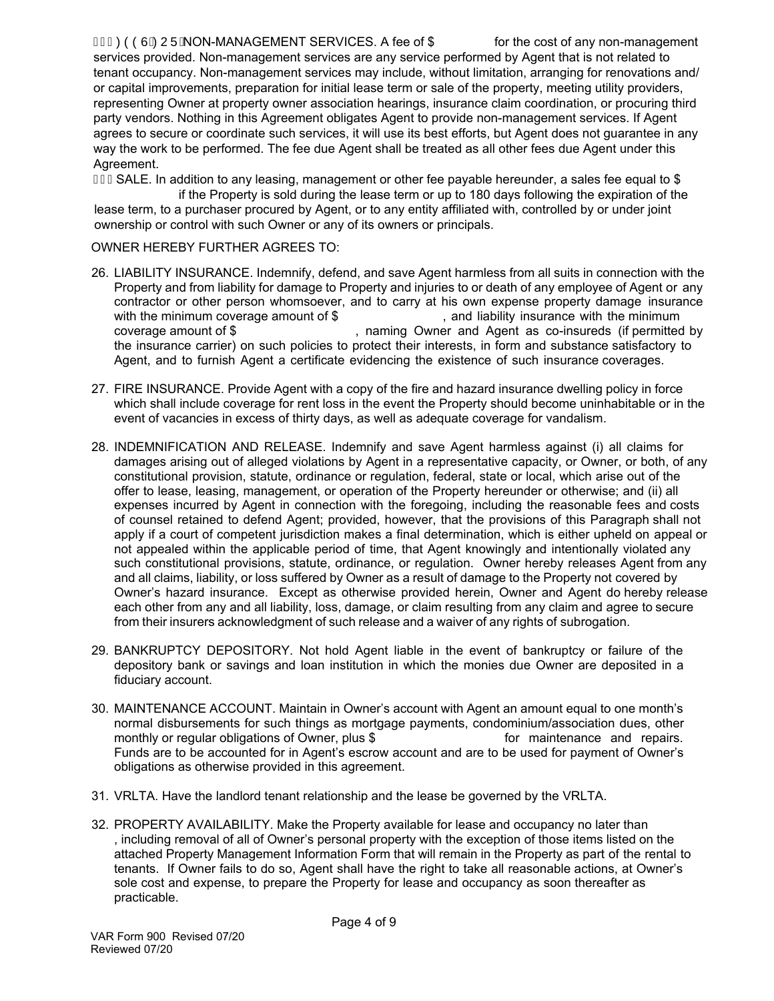## G ECOOUR U AND NANAGEMENT SERVICES. A fee of \$ for the cost of any non-management

services provided. Non-management services are any service performed by Agent that is not related to tenant occupancy. Non-management services may include, without limitation, arranging for renovations and/ or capital improvements, preparation for initial lease term or sale of the property, meeting utility providers, representing Owner at property owner association hearings, insurance claim coordination, or procuring third party vendors. Nothing in this Agreement obligates Agent to provide non-management services. If Agent agrees to secure or coordinate such services, it will use its best efforts, but Agent does not guarantee in any way the work to be performed. The fee due Agent shall be treated as all other fees due Agent under this Agreement.

 $\overline{G}$  ESALE. In addition to any leasing, management or other fee payable hereunder, a sales fee equal to \$

if the Property is sold during the lease term or up to 180 days following the expiration of the lease term, to a purchaser procured by Agent, or to any entity affiliated with, controlled by or under joint ownership or control with such Owner or any of its owners or principals.

### OWNER HEREBY FURTHER AGREES TO:

- 26. LIABILITY INSURANCE. Indemnify, defend, and save Agent harmless from all suits in connection with the Property and from liability for damage to Property and injuries to or death of any employee of Agent or any contractor or other person whomsoever, and to carry at his own expense property damage insurance with the minimum coverage amount of \$ , and liability insurance with the minimum coverage amount of \$ , naming Owner and Agent as co-insureds (if permitted by the insurance carrier) on such policies to protect their interests, in form and substance satisfactory to Agent, and to furnish Agent a certificate evidencing the existence of such insurance coverages.
- 27. FIRE INSURANCE. Provide Agent with a copy of the fire and hazard insurance dwelling policy in force which shall include coverage for rent loss in the event the Property should become uninhabitable or in the event of vacancies in excess of thirty days, as well as adequate coverage for vandalism.
- 28. INDEMNIFICATION AND RELEASE. Indemnify and save Agent harmless against (i) all claims for damages arising out of alleged violations by Agent in a representative capacity, or Owner, or both, of any constitutional provision, statute, ordinance or regulation, federal, state or local, which arise out of the offer to lease, leasing, management, or operation of the Property hereunder or otherwise; and (ii) all expenses incurred by Agent in connection with the foregoing, including the reasonable fees and costs of counsel retained to defend Agent; provided, however, that the provisions of this Paragraph shall not apply if a court of competent jurisdiction makes a final determination, which is either upheld on appeal or not appealed within the applicable period of time, that Agent knowingly and intentionally violated any such constitutional provisions, statute, ordinance, or regulation. Owner hereby releases Agent from any and all claims, liability, or loss suffered by Owner as a result of damage to the Property not covered by Owner's hazard insurance. Except as otherwise provided herein, Owner and Agent do hereby release each other from any and all liability, loss, damage, or claim resulting from any claim and agree to secure from their insurers acknowledgment of such release and a waiver of any rights of subrogation.
- 29. BANKRUPTCY DEPOSITORY. Not hold Agent liable in the event of bankruptcy or failure of the depository bank or savings and loan institution in which the monies due Owner are deposited in a fiduciary account.
- 30. MAINTENANCE ACCOUNT. Maintain in Owner's account with Agent an amount equal to one month's normal disbursements for such things as mortgage payments, condominium/association dues, other monthly or regular obligations of Owner, plus \$ for maintenance and repairs. Funds are to be accounted for in Agent's escrow account and are to be used for payment of Owner's obligations as otherwise provided in this agreement.
- 31. VRLTA. Have the landlord tenant relationship and the lease be governed by the VRLTA.
- 32. PROPERTY AVAILABILITY. Make the Property available for lease and occupancy no later than , including removal of all of Owner's personal property with the exception of those items listed on the attached Property Management Information Form that will remain in the Property as part of the rental to tenants. If Owner fails to do so, Agent shall have the right to take all reasonable actions, at Owner's sole cost and expense, to prepare the Property for lease and occupancy as soon thereafter as practicable.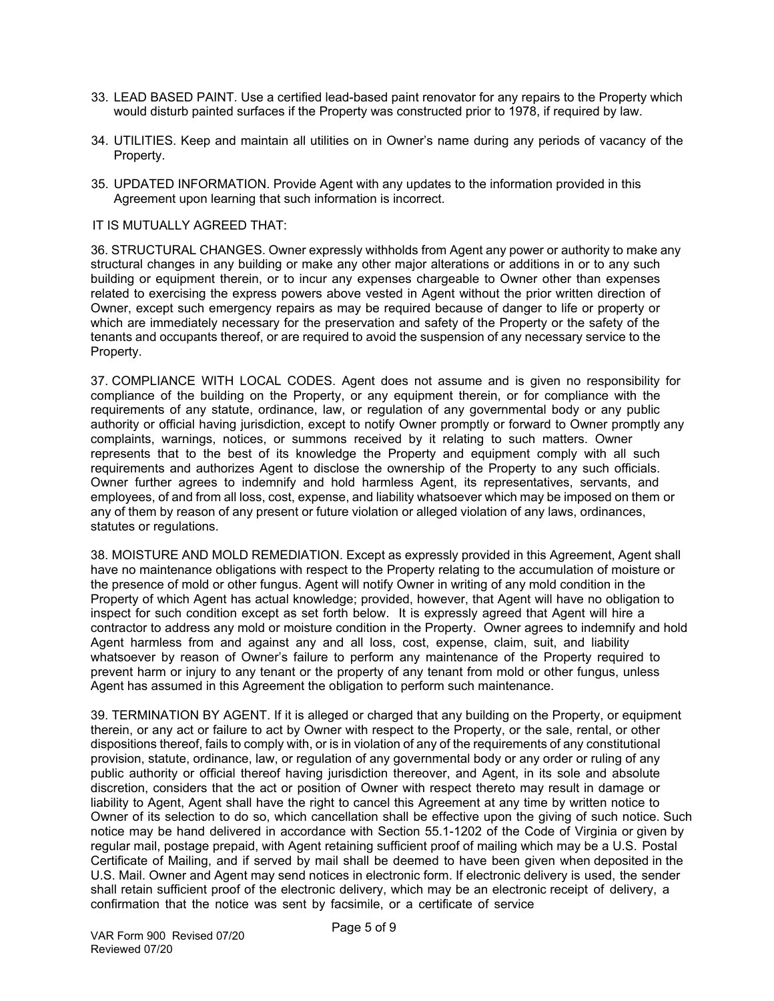- 33. LEAD BASED PAINT. Use a certified lead-based paint renovator for any repairs to the Property which would disturb painted surfaces if the Property was constructed prior to 1978, if required by law.
- 34. UTILITIES. Keep and maintain all utilities on in Owner's name during any periods of vacancy of the Property.
- 35. UPDATED INFORMATION. Provide Agent with any updates to the information provided in this Agreement upon learning that such information is incorrect.

#### IT IS MUTUALLY AGREED THAT:

36. STRUCTURAL CHANGES. Owner expressly withholds from Agent any power or authority to make any structural changes in any building or make any other major alterations or additions in or to any such building or equipment therein, or to incur any expenses chargeable to Owner other than expenses related to exercising the express powers above vested in Agent without the prior written direction of Owner, except such emergency repairs as may be required because of danger to life or property or which are immediately necessary for the preservation and safety of the Property or the safety of the tenants and occupants thereof, or are required to avoid the suspension of any necessary service to the Property.

37. COMPLIANCE WITH LOCAL CODES. Agent does not assume and is given no responsibility for compliance of the building on the Property, or any equipment therein, or for compliance with the requirements of any statute, ordinance, law, or regulation of any governmental body or any public authority or official having jurisdiction, except to notify Owner promptly or forward to Owner promptly any complaints, warnings, notices, or summons received by it relating to such matters. Owner represents that to the best of its knowledge the Property and equipment comply with all such requirements and authorizes Agent to disclose the ownership of the Property to any such officials. Owner further agrees to indemnify and hold harmless Agent, its representatives, servants, and employees, of and from all loss, cost, expense, and liability whatsoever which may be imposed on them or any of them by reason of any present or future violation or alleged violation of any laws, ordinances, statutes or regulations.

38. MOISTURE AND MOLD REMEDIATION. Except as expressly provided in this Agreement, Agent shall have no maintenance obligations with respect to the Property relating to the accumulation of moisture or the presence of mold or other fungus. Agent will notify Owner in writing of any mold condition in the Property of which Agent has actual knowledge; provided, however, that Agent will have no obligation to inspect for such condition except as set forth below. It is expressly agreed that Agent will hire a contractor to address any mold or moisture condition in the Property. Owner agrees to indemnify and hold Agent harmless from and against any and all loss, cost, expense, claim, suit, and liability whatsoever by reason of Owner's failure to perform any maintenance of the Property required to prevent harm or injury to any tenant or the property of any tenant from mold or other fungus, unless Agent has assumed in this Agreement the obligation to perform such maintenance.

39. TERMINATION BY AGENT. If it is alleged or charged that any building on the Property, or equipment therein, or any act or failure to act by Owner with respect to the Property, or the sale, rental, or other dispositions thereof, fails to comply with, or is in violation of any of the requirements of any constitutional provision, statute, ordinance, law, or regulation of any governmental body or any order or ruling of any public authority or official thereof having jurisdiction thereover, and Agent, in its sole and absolute discretion, considers that the act or position of Owner with respect thereto may result in damage or liability to Agent, Agent shall have the right to cancel this Agreement at any time by written notice to Owner of its selection to do so, which cancellation shall be effective upon the giving of such notice. Such notice may be hand delivered in accordance with Section 55.1-1202 of the Code of Virginia or given by regular mail, postage prepaid, with Agent retaining sufficient proof of mailing which may be a U.S. Postal Certificate of Mailing, and if served by mail shall be deemed to have been given when deposited in the U.S. Mail. Owner and Agent may send notices in electronic form. If electronic delivery is used, the sender shall retain sufficient proof of the electronic delivery, which may be an electronic receipt of delivery, a confirmation that the notice was sent by facsimile, or a certificate of service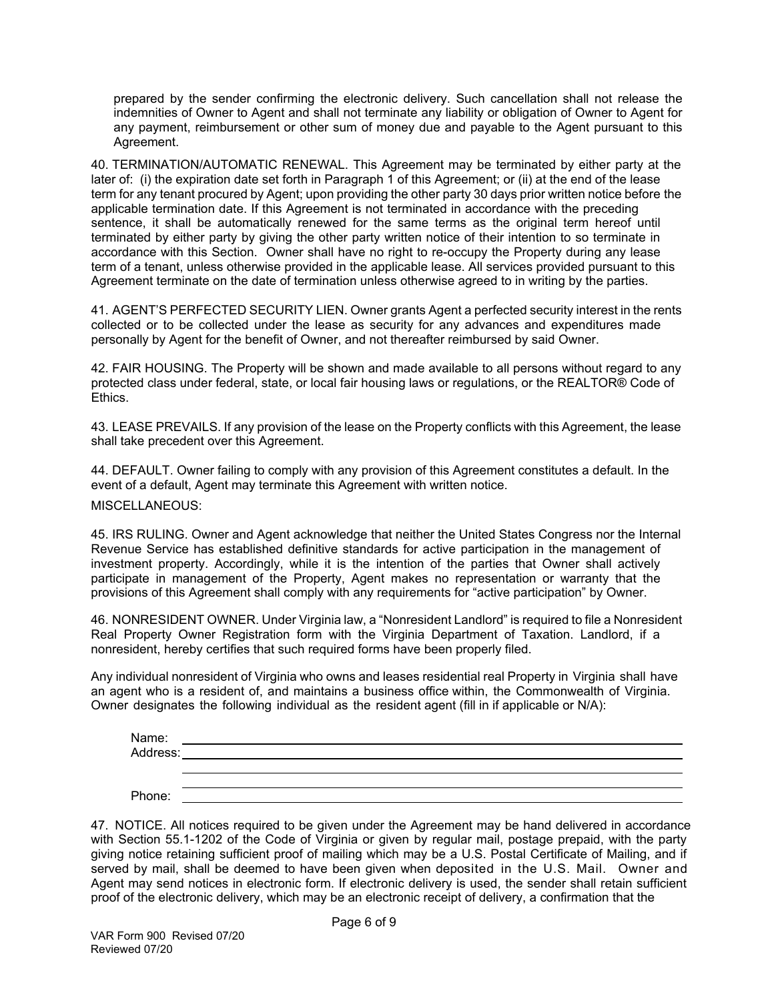prepared by the sender confirming the electronic delivery. Such cancellation shall not release the indemnities of Owner to Agent and shall not terminate any liability or obligation of Owner to Agent for any payment, reimbursement or other sum of money due and payable to the Agent pursuant to this Agreement.

40. TERMINATION/AUTOMATIC RENEWAL. This Agreement may be terminated by either party at the later of: (i) the expiration date set forth in Paragraph 1 of this Agreement; or (ii) at the end of the lease term for any tenant procured by Agent; upon providing the other party 30 days prior written notice before the applicable termination date. If this Agreement is not terminated in accordance with the preceding sentence, it shall be automatically renewed for the same terms as the original term hereof until terminated by either party by giving the other party written notice of their intention to so terminate in accordance with this Section. Owner shall have no right to re-occupy the Property during any lease term of a tenant, unless otherwise provided in the applicable lease. All services provided pursuant to this Agreement terminate on the date of termination unless otherwise agreed to in writing by the parties.

41. AGENT'S PERFECTED SECURITY LIEN. Owner grants Agent a perfected security interest in the rents collected or to be collected under the lease as security for any advances and expenditures made personally by Agent for the benefit of Owner, and not thereafter reimbursed by said Owner.

42. FAIR HOUSING. The Property will be shown and made available to all persons without regard to any protected class under federal, state, or local fair housing laws or regulations, or the REALTOR® Code of Ethics.

43. LEASE PREVAILS. If any provision of the lease on the Property conflicts with this Agreement, the lease shall take precedent over this Agreement.

44. DEFAULT. Owner failing to comply with any provision of this Agreement constitutes a default. In the event of a default, Agent may terminate this Agreement with written notice.

MISCELLANEOUS:

45. IRS RULING. Owner and Agent acknowledge that neither the United States Congress nor the Internal Revenue Service has established definitive standards for active participation in the management of investment property. Accordingly, while it is the intention of the parties that Owner shall actively participate in management of the Property, Agent makes no representation or warranty that the provisions of this Agreement shall comply with any requirements for "active participation" by Owner.

46. NONRESIDENT OWNER. Under Virginia law, a "Nonresident Landlord" is required to file a Nonresident Real Property Owner Registration form with the Virginia Department of Taxation. Landlord, if a nonresident, hereby certifies that such required forms have been properly filed.

Any individual nonresident of Virginia who owns and leases residential real Property in Virginia shall have an agent who is a resident of, and maintains a business office within, the Commonwealth of Virginia. Owner designates the following individual as the resident agent (fill in if applicable or N/A):

| Name:    |  |
|----------|--|
| Address: |  |
|          |  |
|          |  |
| Phone:   |  |

47. NOTICE. All notices required to be given under the Agreement may be hand delivered in accordance with Section 55.1-1202 of the Code of Virginia or given by regular mail, postage prepaid, with the party giving notice retaining sufficient proof of mailing which may be a U.S. Postal Certificate of Mailing, and if served by mail, shall be deemed to have been given when deposited in the U.S. Mail. Owner and Agent may send notices in electronic form. If electronic delivery is used, the sender shall retain sufficient proof of the electronic delivery, which may be an electronic receipt of delivery, a confirmation that the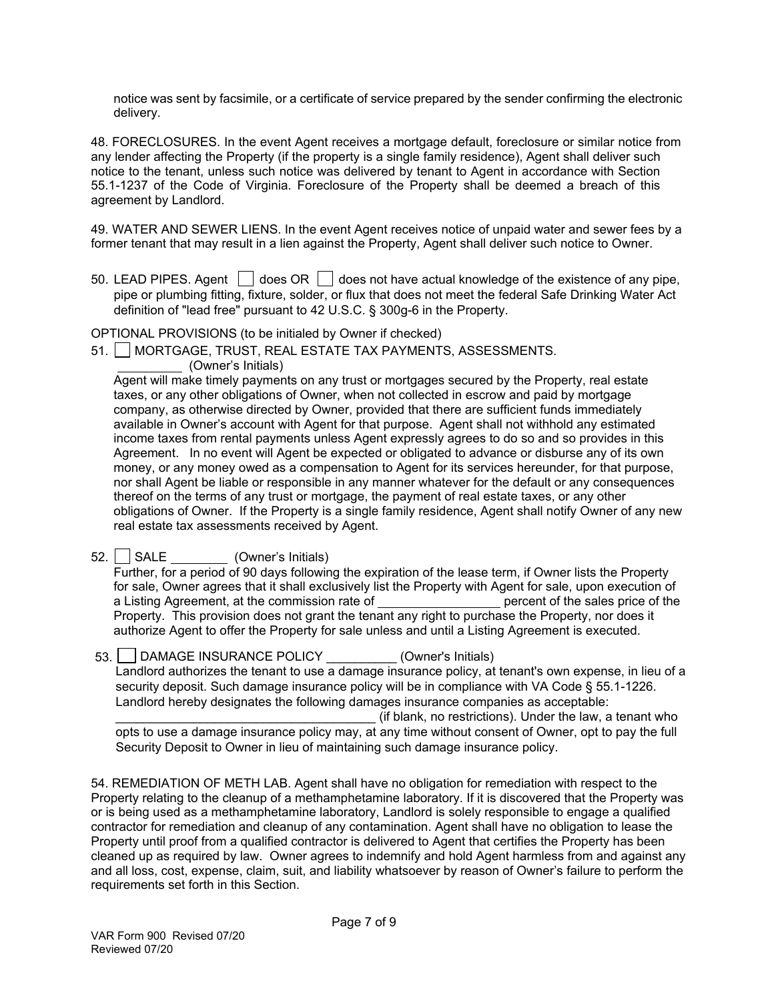notice was sent by facsimile, or a certificate of service prepared by the sender confirming the electronic delivery.

48. FORECLOSURES. In the event Agent receives a mortgage default, foreclosure or similar notice from any lender affecting the Property (if the property is a single family residence), Agent shall deliver such notice to the tenant, unless such notice was delivered by tenant to Agent in accordance with Section 55.1-1237 of the Code of Virginia. Foreclosure of the Property shall be deemed a breach of this agreement by Landlord.

49. WATER AND SEWER LIENS. In the event Agent receives notice of unpaid water and sewer fees by a former tenant that may result in a lien against the Property, Agent shall deliver such notice to Owner.

50. LEAD PIPES. Agent  $\Box$  does OR  $\Box$  does not have actual knowledge of the existence of any pipe, pipe or plumbing fitting, fixture, solder, or flux that does not meet the federal Safe Drinking Water Act definition of "lead free" pursuant to 42 U.S.C. § 300g-6 in the Property.

OPTIONAL PROVISIONS (to be initialed by Owner if checked)

51. | MORTGAGE, TRUST, REAL ESTATE TAX PAYMENTS, ASSESSMENTS.

(Owner's Initials)

Agent will make timely payments on any trust or mortgages secured by the Property, real estate taxes, or any other obligations of Owner, when not collected in escrow and paid by mortgage company, as otherwise directed by Owner, provided that there are sufficient funds immediately available in Owner's account with Agent for that purpose. Agent shall not withhold any estimated income taxes from rental payments unless Agent expressly agrees to do so and so provides in this Agreement. In no event will Agent be expected or obligated to advance or disburse any of its own money, or any money owed as a compensation to Agent for its services hereunder, for that purpose, nor shall Agent be liable or responsible in any manner whatever for the default or any consequences thereof on the terms of any trust or mortgage, the payment of real estate taxes, or any other obligations of Owner. If the Property is a single family residence, Agent shall notify Owner of any new real estate tax assessments received by Agent.

52. SALE (Owner's Initials)

Further, for a period of 90 days following the expiration of the lease term, if Owner lists the Property for sale, Owner agrees that it shall exclusively list the Property with Agent for sale, upon execution of a Listing Agreement, at the commission rate of **percent** of the sales price of the Property. This provision does not grant the tenant any right to purchase the Property, nor does it authorize Agent to offer the Property for sale unless and until a Listing Agreement is executed.

53. DAMAGE INSURANCE POLICY (Owner's Initials) Landlord authorizes the tenant to use a damage insurance policy, at tenant's own expense, in lieu of a security deposit. Such damage insurance policy will be in compliance with VA Code § 55.1-1226. Landlord hereby designates the following damages insurance companies as acceptable: (if blank, no restrictions). Under the law, a tenant who opts to use a damage insurance policy may, at any time without consent of Owner, opt to pay the full

Security Deposit to Owner in lieu of maintaining such damage insurance policy.

54. REMEDIATION OF METH LAB. Agent shall have no obligation for remediation with respect to the Property relating to the cleanup of a methamphetamine laboratory. If it is discovered that the Property was or is being used as a methamphetamine laboratory, Landlord is solely responsible to engage a qualified contractor for remediation and cleanup of any contamination. Agent shall have no obligation to lease the Property until proof from a qualified contractor is delivered to Agent that certifies the Property has been cleaned up as required by law. Owner agrees to indemnify and hold Agent harmless from and against any and all loss, cost, expense, claim, suit, and liability whatsoever by reason of Owner's failure to perform the requirements set forth in this Section.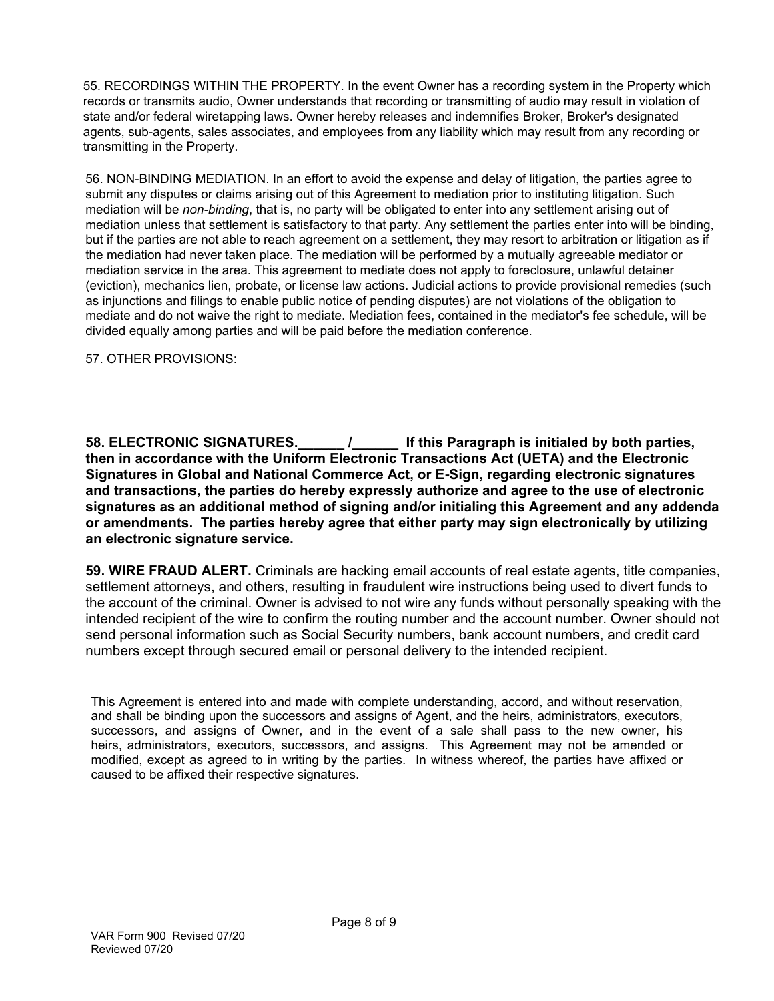55. RECORDINGS WITHIN THE PROPERTY. In the event Owner has a recording system in the Property which records or transmits audio, Owner understands that recording or transmitting of audio may result in violation of state and/or federal wiretapping laws. Owner hereby releases and indemnifies Broker, Broker's designated agents, sub-agents, sales associates, and employees from any liability which may result from any recording or transmitting in the Property.

56. NON-BINDING MEDIATION. In an effort to avoid the expense and delay of litigation, the parties agree to submit any disputes or claims arising out of this Agreement to mediation prior to instituting litigation. Such mediation will be *non-binding*, that is, no party will be obligated to enter into any settlement arising out of mediation unless that settlement is satisfactory to that party. Any settlement the parties enter into will be binding, but if the parties are not able to reach agreement on a settlement, they may resort to arbitration or litigation as if the mediation had never taken place. The mediation will be performed by a mutually agreeable mediator or mediation service in the area. This agreement to mediate does not apply to foreclosure, unlawful detainer (eviction), mechanics lien, probate, or license law actions. Judicial actions to provide provisional remedies (such as injunctions and filings to enable public notice of pending disputes) are not violations of the obligation to mediate and do not waive the right to mediate. Mediation fees, contained in the mediator's fee schedule, will be divided equally among parties and will be paid before the mediation conference.

57. OTHER PROVISIONS:

**58. ELECTRONIC SIGNATURES.\_\_\_\_\_\_ /\_\_\_\_\_\_ If this Paragraph is initialed by both parties, then in accordance with the Uniform Electronic Transactions Act (UETA) and the Electronic Signatures in Global and National Commerce Act, or E-Sign, regarding electronic signatures and transactions, the parties do hereby expressly authorize and agree to the use of electronic signatures as an additional method of signing and/or initialing this Agreement and any addenda or amendments. The parties hereby agree that either party may sign electronically by utilizing an electronic signature service.**

**59. WIRE FRAUD ALERT.** Criminals are hacking email accounts of real estate agents, title companies, settlement attorneys, and others, resulting in fraudulent wire instructions being used to divert funds to the account of the criminal. Owner is advised to not wire any funds without personally speaking with the intended recipient of the wire to confirm the routing number and the account number. Owner should not send personal information such as Social Security numbers, bank account numbers, and credit card numbers except through secured email or personal delivery to the intended recipient.

This Agreement is entered into and made with complete understanding, accord, and without reservation, and shall be binding upon the successors and assigns of Agent, and the heirs, administrators, executors, successors, and assigns of Owner, and in the event of a sale shall pass to the new owner, his heirs, administrators, executors, successors, and assigns. This Agreement may not be amended or modified, except as agreed to in writing by the parties. In witness whereof, the parties have affixed or caused to be affixed their respective signatures.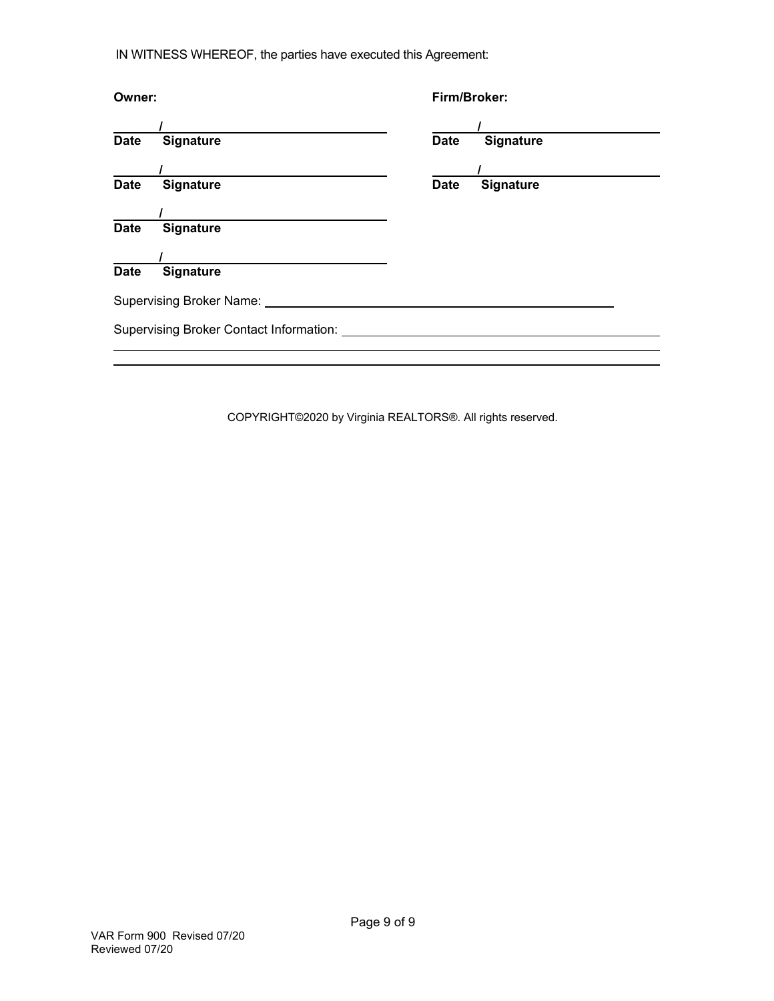IN WITNESS WHEREOF, the parties have executed this Agreement:

| Owner:      |                                         |             | Firm/Broker:     |  |  |
|-------------|-----------------------------------------|-------------|------------------|--|--|
|             |                                         |             |                  |  |  |
| <b>Date</b> | Signature                               | <b>Date</b> | <b>Signature</b> |  |  |
|             |                                         |             |                  |  |  |
| <b>Date</b> | <b>Signature</b>                        | <b>Date</b> | Signature        |  |  |
|             |                                         |             |                  |  |  |
| <b>Date</b> | Signature                               |             |                  |  |  |
|             |                                         |             |                  |  |  |
| <b>Date</b> | Signature                               |             |                  |  |  |
|             | Supervising Broker Name: _              |             |                  |  |  |
|             | Supervising Broker Contact Information: |             |                  |  |  |
|             |                                         |             |                  |  |  |
|             |                                         |             |                  |  |  |

COPYRIGHT©2020 by Virginia REALTORS®. All rights reserved.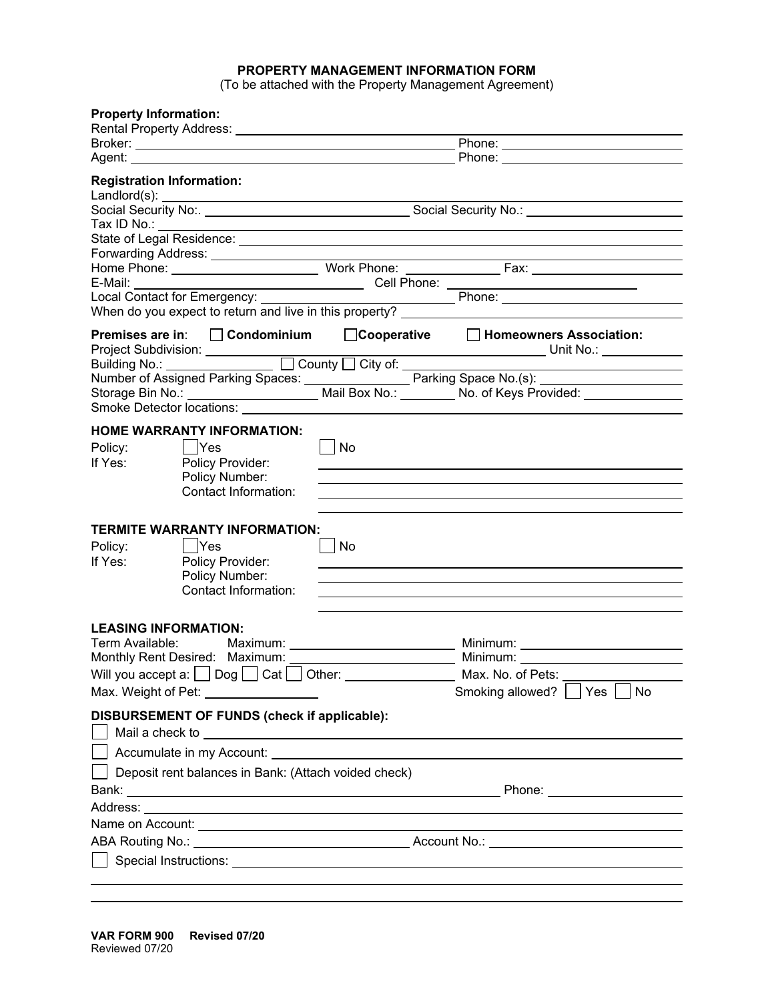# **PROPERTY MANAGEMENT INFORMATION FORM**

(To be attached with the Property Management Agreement)

| <b>Property Information:</b>     |                                                                                                                         |                                  |  |                                                                                                                                                                                                                               |  |
|----------------------------------|-------------------------------------------------------------------------------------------------------------------------|----------------------------------|--|-------------------------------------------------------------------------------------------------------------------------------------------------------------------------------------------------------------------------------|--|
|                                  |                                                                                                                         |                                  |  |                                                                                                                                                                                                                               |  |
|                                  |                                                                                                                         | Phone: _________________________ |  |                                                                                                                                                                                                                               |  |
| <b>Registration Information:</b> |                                                                                                                         |                                  |  |                                                                                                                                                                                                                               |  |
|                                  |                                                                                                                         |                                  |  |                                                                                                                                                                                                                               |  |
|                                  |                                                                                                                         |                                  |  |                                                                                                                                                                                                                               |  |
|                                  |                                                                                                                         |                                  |  |                                                                                                                                                                                                                               |  |
|                                  | Forwarding Address: <u>contract and the contract of the contract of the contract of the contract of the contract of</u> |                                  |  |                                                                                                                                                                                                                               |  |
|                                  |                                                                                                                         |                                  |  |                                                                                                                                                                                                                               |  |
|                                  |                                                                                                                         |                                  |  |                                                                                                                                                                                                                               |  |
|                                  |                                                                                                                         |                                  |  |                                                                                                                                                                                                                               |  |
|                                  |                                                                                                                         |                                  |  | Premises are in: □ Condominium □ Cooperative □ Homeowners Association:                                                                                                                                                        |  |
|                                  |                                                                                                                         |                                  |  |                                                                                                                                                                                                                               |  |
|                                  |                                                                                                                         |                                  |  |                                                                                                                                                                                                                               |  |
|                                  |                                                                                                                         |                                  |  |                                                                                                                                                                                                                               |  |
|                                  |                                                                                                                         |                                  |  |                                                                                                                                                                                                                               |  |
| Policy:<br>If Yes:               | <b>HOME WARRANTY INFORMATION:</b><br>  Yes<br>Policy Provider:                                                          | No                               |  |                                                                                                                                                                                                                               |  |
|                                  | Policy Number:<br>Contact Information:                                                                                  |                                  |  |                                                                                                                                                                                                                               |  |
| Policy:<br>If Yes:               | <b>TERMITE WARRANTY INFORMATION:</b><br>$ $ $ $ Yes<br>Policy Provider:<br>Policy Number:<br>Contact Information:       | No                               |  |                                                                                                                                                                                                                               |  |
| <b>LEASING INFORMATION:</b>      |                                                                                                                         |                                  |  |                                                                                                                                                                                                                               |  |
| Term Available:                  | Maximum: <u>_____________________________</u>                                                                           |                                  |  |                                                                                                                                                                                                                               |  |
|                                  | Monthly Rent Desired: Maximum:                                                                                          |                                  |  |                                                                                                                                                                                                                               |  |
|                                  | Will you accept a: $\Box$ Dog $\Box$ Cat $\Box$ Other: $\Box$                                                           |                                  |  | Max. No. of Pets:                                                                                                                                                                                                             |  |
|                                  | Max. Weight of Pet: __________________                                                                                  |                                  |  | Smoking allowed?   Yes   No                                                                                                                                                                                                   |  |
|                                  | DISBURSEMENT OF FUNDS (check if applicable):                                                                            |                                  |  | Mail a check to experience of the state of the state of the state of the state of the state of the state of the state of the state of the state of the state of the state of the state of the state of the state of the state |  |
|                                  |                                                                                                                         |                                  |  |                                                                                                                                                                                                                               |  |
|                                  | Deposit rent balances in Bank: (Attach voided check)                                                                    |                                  |  |                                                                                                                                                                                                                               |  |
|                                  |                                                                                                                         |                                  |  |                                                                                                                                                                                                                               |  |
|                                  |                                                                                                                         |                                  |  |                                                                                                                                                                                                                               |  |
|                                  |                                                                                                                         |                                  |  |                                                                                                                                                                                                                               |  |
|                                  |                                                                                                                         |                                  |  |                                                                                                                                                                                                                               |  |
|                                  |                                                                                                                         |                                  |  | Special Instructions: <u>example and the second contract of the second contract of the second contract of the second</u>                                                                                                      |  |
|                                  |                                                                                                                         |                                  |  |                                                                                                                                                                                                                               |  |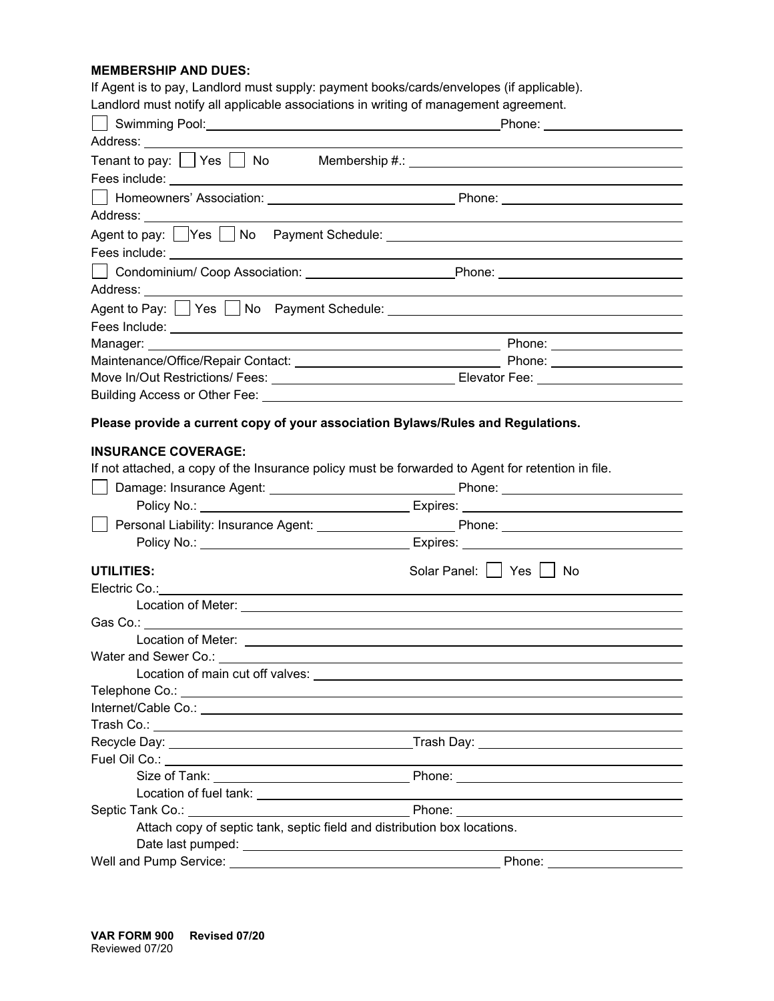# **MEMBERSHIP AND DUES:**

If Agent is to pay, Landlord must supply: payment books/cards/envelopes (if applicable).

Landlord must notify all applicable associations in writing of management agreement.

| Swimming Pool: <u>Contract Communication</u> Phone: Communication Phone: Communication Phone: Communication Phone: Communication Phone: Communication Phone: Communication Phone: Communication Phone: Communication Phone: Communi                                     |                                                                                                                                                                                                                                      |
|-------------------------------------------------------------------------------------------------------------------------------------------------------------------------------------------------------------------------------------------------------------------------|--------------------------------------------------------------------------------------------------------------------------------------------------------------------------------------------------------------------------------------|
|                                                                                                                                                                                                                                                                         |                                                                                                                                                                                                                                      |
| Tenant to pay: $\Box$ Yes $\Box$ No Membership #.: $\Box$                                                                                                                                                                                                               |                                                                                                                                                                                                                                      |
|                                                                                                                                                                                                                                                                         |                                                                                                                                                                                                                                      |
|                                                                                                                                                                                                                                                                         |                                                                                                                                                                                                                                      |
|                                                                                                                                                                                                                                                                         |                                                                                                                                                                                                                                      |
|                                                                                                                                                                                                                                                                         |                                                                                                                                                                                                                                      |
| Fees include: <u>with the contract of the contract of the contract of the contract of the contract of the contract of the contract of the contract of the contract of the contract of the contract of the contract of the contra</u>                                    |                                                                                                                                                                                                                                      |
|                                                                                                                                                                                                                                                                         |                                                                                                                                                                                                                                      |
|                                                                                                                                                                                                                                                                         |                                                                                                                                                                                                                                      |
|                                                                                                                                                                                                                                                                         |                                                                                                                                                                                                                                      |
|                                                                                                                                                                                                                                                                         | <u>and the state of the state of the state of the state of the state of the state of the state of the state of the state of the state of the state of the state of the state of the state of the state of the state of the state</u> |
|                                                                                                                                                                                                                                                                         |                                                                                                                                                                                                                                      |
|                                                                                                                                                                                                                                                                         |                                                                                                                                                                                                                                      |
|                                                                                                                                                                                                                                                                         |                                                                                                                                                                                                                                      |
|                                                                                                                                                                                                                                                                         |                                                                                                                                                                                                                                      |
|                                                                                                                                                                                                                                                                         |                                                                                                                                                                                                                                      |
| Please provide a current copy of your association Bylaws/Rules and Regulations.                                                                                                                                                                                         |                                                                                                                                                                                                                                      |
| <b>INSURANCE COVERAGE:</b>                                                                                                                                                                                                                                              |                                                                                                                                                                                                                                      |
| If not attached, a copy of the Insurance policy must be forwarded to Agent for retention in file.                                                                                                                                                                       |                                                                                                                                                                                                                                      |
|                                                                                                                                                                                                                                                                         |                                                                                                                                                                                                                                      |
|                                                                                                                                                                                                                                                                         |                                                                                                                                                                                                                                      |
|                                                                                                                                                                                                                                                                         |                                                                                                                                                                                                                                      |
|                                                                                                                                                                                                                                                                         |                                                                                                                                                                                                                                      |
|                                                                                                                                                                                                                                                                         |                                                                                                                                                                                                                                      |
| <b>UTILITIES:</b>                                                                                                                                                                                                                                                       | Solar Panel:     Yes     No                                                                                                                                                                                                          |
| Electric Co.:                                                                                                                                                                                                                                                           |                                                                                                                                                                                                                                      |
|                                                                                                                                                                                                                                                                         |                                                                                                                                                                                                                                      |
|                                                                                                                                                                                                                                                                         |                                                                                                                                                                                                                                      |
|                                                                                                                                                                                                                                                                         |                                                                                                                                                                                                                                      |
| Water and Sewer Co.: <u>Contract Communication</u> Contract Contract Contract Contract Contract Contract Contract Contract Contract Contract Contract Contract Contract Contract Contract Contract Contract Contract Contract Contr<br>Location of main cut off valves: |                                                                                                                                                                                                                                      |
| Telephone Co.: New York Contract and Contract Contract of the Contract of the Contract of the Contract of the Contract of the Contract of the Contract of the Contract of the Contract of the Contract of the Contract of the                                           |                                                                                                                                                                                                                                      |
|                                                                                                                                                                                                                                                                         |                                                                                                                                                                                                                                      |
|                                                                                                                                                                                                                                                                         |                                                                                                                                                                                                                                      |
|                                                                                                                                                                                                                                                                         |                                                                                                                                                                                                                                      |
|                                                                                                                                                                                                                                                                         |                                                                                                                                                                                                                                      |
|                                                                                                                                                                                                                                                                         |                                                                                                                                                                                                                                      |
|                                                                                                                                                                                                                                                                         |                                                                                                                                                                                                                                      |
| Septic Tank Co.:                                                                                                                                                                                                                                                        | <b>Example 2018 Phone: Phone: Phone: Phone: Phone: Phone: Phone: Phone: Phone: Phone: Phone: Phone: Phone: Phone: Phone: Phone: Phone: Phone: Phone: Phone: Phone: Phone: Phone:</b>                                                 |
| Attach copy of septic tank, septic field and distribution box locations.                                                                                                                                                                                                |                                                                                                                                                                                                                                      |
|                                                                                                                                                                                                                                                                         |                                                                                                                                                                                                                                      |
| Well and Pump Service:                                                                                                                                                                                                                                                  | Phone:                                                                                                                                                                                                                               |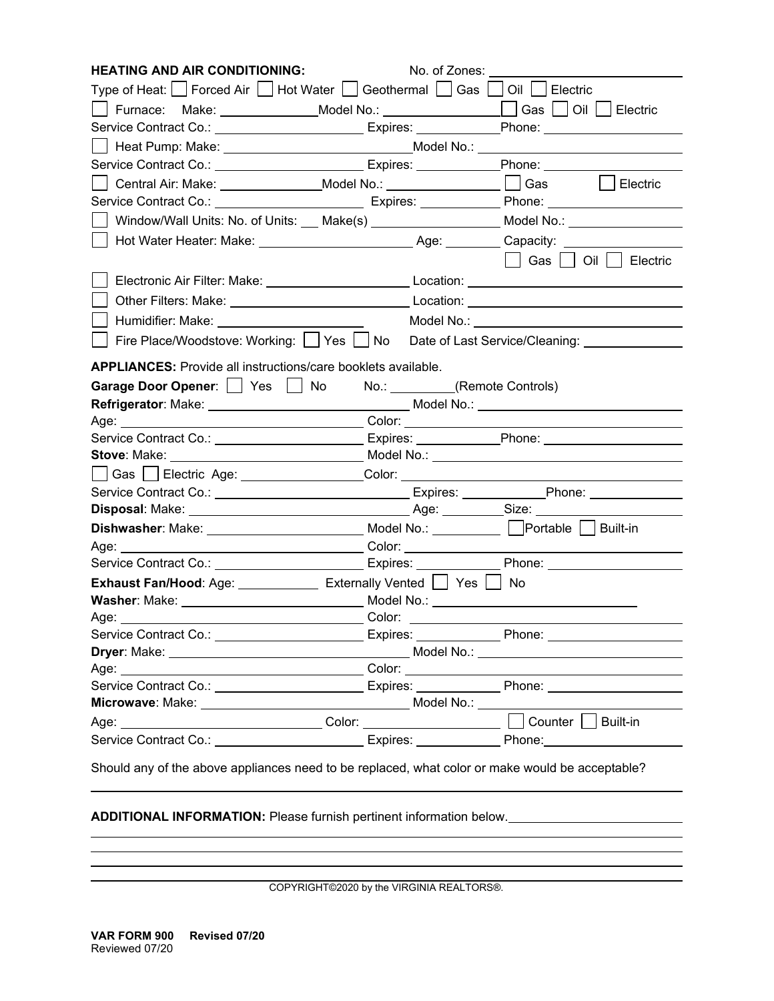| <b>HEATING AND AIR CONDITIONING:</b>                                                                       | No. of Zones:                   |                                                |
|------------------------------------------------------------------------------------------------------------|---------------------------------|------------------------------------------------|
|                                                                                                            |                                 |                                                |
|                                                                                                            |                                 |                                                |
| Service Contract Co.: _________________________Expires: ____________Phone: _____________                   |                                 |                                                |
| __   Heat Pump: Make: ____________________________Model No.: ___________________                           |                                 |                                                |
| Service Contract Co.: ____________________________Expires: ______________Phone: ___________                |                                 |                                                |
| __  Central Air: Make: _______________Model No.: _______________________________                           |                                 | Electric<br>$\perp$                            |
|                                                                                                            |                                 |                                                |
| _  Window/Wall Units: No. of Units: ___ Make(s) ___________________ Model No.: ________                    |                                 |                                                |
|                                                                                                            |                                 |                                                |
|                                                                                                            |                                 |                                                |
|                                                                                                            |                                 |                                                |
|                                                                                                            |                                 |                                                |
|                                                                                                            |                                 |                                                |
| Fire Place/Woodstove: Working:     Yes     No Date of Last Service/Cleaning:                               |                                 |                                                |
| <b>APPLIANCES:</b> Provide all instructions/care booklets available.                                       |                                 |                                                |
| Garage Door Opener:   Yes   No                                                                             | No.: _________(Remote Controls) |                                                |
|                                                                                                            |                                 |                                                |
|                                                                                                            |                                 |                                                |
| Service Contract Co.: ___________________________Expires: _____________Phone: _____________________        |                                 |                                                |
|                                                                                                            |                                 | Model No.: ___________________________________ |
|                                                                                                            |                                 |                                                |
|                                                                                                            |                                 |                                                |
|                                                                                                            |                                 |                                                |
|                                                                                                            |                                 |                                                |
|                                                                                                            |                                 |                                                |
| Service Contract Co.: ___________________________Expires: _______________Phone: ______________             |                                 |                                                |
| <b>Exhaust Fan/Hood:</b> Age: ___________________ Externally Vented $\Box$ Yes $\Box$ No                   |                                 |                                                |
| <b>Washer</b> : Make: ____________________________ Model No.: __________________________                   |                                 |                                                |
|                                                                                                            |                                 |                                                |
| Service Contract Co.: University of Service Contract Co.:                                                  |                                 | Expires: Phone: Phone:                         |
|                                                                                                            |                                 |                                                |
|                                                                                                            |                                 |                                                |
| Service Contract Co.: <u>__________________________</u> Expires: _____________Phone: _____________________ |                                 |                                                |
|                                                                                                            |                                 |                                                |
|                                                                                                            |                                 | Built-in                                       |
| Service Contract Co.: ___________________________Expires: ______________Phone: ____________________        |                                 |                                                |
| Should any of the above appliances need to be replaced, what color or make would be acceptable?            |                                 |                                                |

**ADDITIONAL INFORMATION:** Please furnish pertinent information below.

COPYRIGHT©2020 by the VIRGINIA REALTORS®.